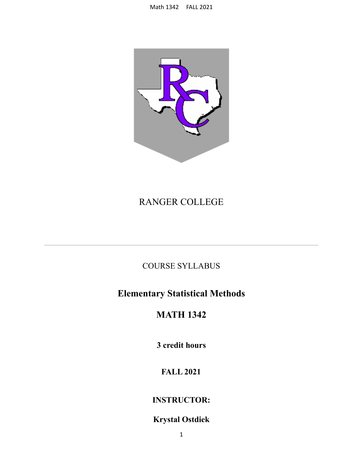

# RANGER COLLEGE

## COURSE SYLLABUS

# **Elementary Statistical Methods**

# **MATH 1342**

**3 credit hours**

### **FALL 2021**

### **INSTRUCTOR:**

## **Krystal Ostdiek**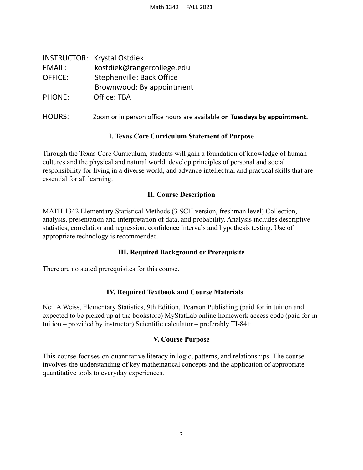|                | <b>INSTRUCTOR: Krystal Ostdiek</b> |
|----------------|------------------------------------|
| EMAIL:         | kostdiek@rangercollege.edu         |
| <b>OFFICE:</b> | Stephenville: Back Office          |
|                | Brownwood: By appointment          |
| <b>PHONE:</b>  | Office: TBA                        |
|                |                                    |

#### HOURS: Zoom or in person office hours are available **on Tuesdays by appointment.**

#### **I. Texas Core Curriculum Statement of Purpose**

Through the Texas Core Curriculum, students will gain a foundation of knowledge of human cultures and the physical and natural world, develop principles of personal and social responsibility for living in a diverse world, and advance intellectual and practical skills that are essential for all learning.

#### **II. Course Description**

MATH 1342 Elementary Statistical Methods (3 SCH version, freshman level) Collection, analysis, presentation and interpretation of data, and probability. Analysis includes descriptive statistics, correlation and regression, confidence intervals and hypothesis testing. Use of appropriate technology is recommended.

#### **III. Required Background or Prerequisite**

There are no stated prerequisites for this course.

#### **IV. Required Textbook and Course Materials**

Neil A Weiss, Elementary Statistics, 9th Edition, Pearson Publishing (paid for in tuition and expected to be picked up at the bookstore) MyStatLab online homework access code (paid for in tuition – provided by instructor) Scientific calculator – preferably TI-84+

#### **V. Course Purpose**

This course focuses on quantitative literacy in logic, patterns, and relationships. The course involves the understanding of key mathematical concepts and the application of appropriate quantitative tools to everyday experiences.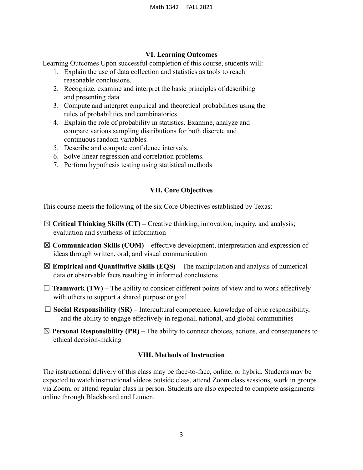#### **VI. Learning Outcomes**

Learning Outcomes Upon successful completion of this course, students will:

- 1. Explain the use of data collection and statistics as tools to reach reasonable conclusions.
- 2. Recognize, examine and interpret the basic principles of describing and presenting data.
- 3. Compute and interpret empirical and theoretical probabilities using the rules of probabilities and combinatorics.
- 4. Explain the role of probability in statistics. Examine, analyze and compare various sampling distributions for both discrete and continuous random variables.
- 5. Describe and compute confidence intervals.
- 6. Solve linear regression and correlation problems.
- 7. Perform hypothesis testing using statistical methods

#### **VII. Core Objectives**

This course meets the following of the six Core Objectives established by Texas:

- ☒ **Critical Thinking Skills (CT) –** Creative thinking, innovation, inquiry, and analysis; evaluation and synthesis of information
- ☒ **Communication Skills (COM) –** effective development, interpretation and expression of ideas through written, oral, and visual communication
- ☒ **Empirical and Quantitative Skills (EQS) –** The manipulation and analysis of numerical data or observable facts resulting in informed conclusions
- $\Box$  **Teamwork (TW)** The ability to consider different points of view and to work effectively with others to support a shared purpose or goal
- □ **Social Responsibility (SR)** Intercultural competence, knowledge of civic responsibility, and the ability to engage effectively in regional, national, and global communities
- $\boxtimes$  **Personal Responsibility (PR)** The ability to connect choices, actions, and consequences to ethical decision-making

#### **VIII. Methods of Instruction**

The instructional delivery of this class may be face-to-face, online, or hybrid. Students may be expected to watch instructional videos outside class, attend Zoom class sessions, work in groups via Zoom, or attend regular class in person. Students are also expected to complete assignments online through Blackboard and Lumen.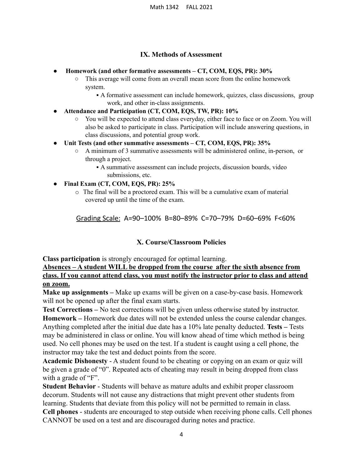#### **IX. Methods of Assessment**

- **Homework (and other formative assessments – CT, COM, EQS, PR): 30%**
	- This average will come from an overall mean score from the online homework system.
		- A formative assessment can include homework, quizzes, class discussions, group work, and other in-class assignments.
- **● Attendance and Participation (CT, COM, EQS, TW, PR): 10%**
	- You will be expected to attend class everyday, either face to face or on Zoom. You will also be asked to participate in class. Participation will include answering questions, in class discussions, and potential group work.
- **● Unit Tests (and other summative assessments – CT, COM, EQS, PR): 35%**
	- A minimum of 3 summative assessments will be administered online, in-person, or through a project.
		- A summative assessment can include projects, discussion boards, video submissions, etc.
- **● Final Exam (CT, COM, EQS, PR): 25%**
	- o The final will be a proctored exam. This will be a cumulative exam of material covered up until the time of the exam.

Grading Scale: A=90–100% B=80–89% C=70–79% D=60–69% F<60%

#### **X. Course/Classroom Policies**

**Class participation** is strongly encouraged for optimal learning.

#### **Absences – A student WILL be dropped from the course after the sixth absence from class. If you cannot attend class, you must notify the instructor prior to class and attend on zoom.**

**Make up assignments –** Make up exams will be given on a case-by-case basis. Homework will not be opened up after the final exam starts.

**Test Corrections –** No test corrections will be given unless otherwise stated by instructor. **Homework –** Homework due dates will not be extended unless the course calendar changes. Anything completed after the initial due date has a 10% late penalty deducted. **Tests –** Tests may be administered in class or online. You will know ahead of time which method is being used. No cell phones may be used on the test. If a student is caught using a cell phone, the instructor may take the test and deduct points from the score.

**Academic Dishonesty** - A student found to be cheating or copying on an exam or quiz will be given a grade of "0". Repeated acts of cheating may result in being dropped from class with a grade of "F".

**Student Behavior** - Students will behave as mature adults and exhibit proper classroom decorum. Students will not cause any distractions that might prevent other students from learning. Students that deviate from this policy will not be permitted to remain in class.

**Cell phones** - students are encouraged to step outside when receiving phone calls. Cell phones CANNOT be used on a test and are discouraged during notes and practice.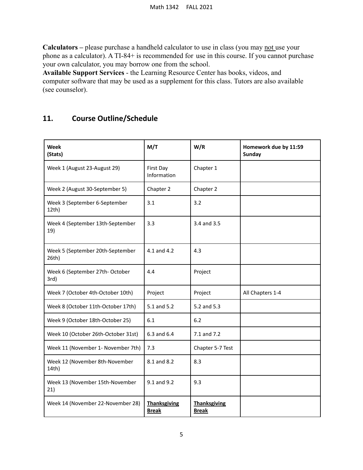**Calculators –** please purchase a handheld calculator to use in class (you may not use your phone as a calculator). A TI-84+ is recommended for use in this course. If you cannot purchase your own calculator, you may borrow one from the school.

**Available Support Services** - the Learning Resource Center has books, videos, and computer software that may be used as a supplement for this class. Tutors are also available (see counselor).

### **11. Course Outline/Schedule**

| Week<br>(Stats)                           | M/T                                 | W/R                                 | Homework due by 11:59<br>Sunday |
|-------------------------------------------|-------------------------------------|-------------------------------------|---------------------------------|
| Week 1 (August 23-August 29)              | First Day<br>Information            | Chapter 1                           |                                 |
| Week 2 (August 30-September 5)            | Chapter 2                           | Chapter 2                           |                                 |
| Week 3 (September 6-September<br>$12th$ ) | 3.1                                 | 3.2                                 |                                 |
| Week 4 (September 13th-September<br>19)   | 3.3                                 | 3.4 and 3.5                         |                                 |
| Week 5 (September 20th-September<br>26th) | 4.1 and 4.2                         | 4.3                                 |                                 |
| Week 6 (September 27th- October<br>3rd)   | 4.4                                 | Project                             |                                 |
| Week 7 (October 4th-October 10th)         | Project                             | Project                             | All Chapters 1-4                |
| Week 8 (October 11th-October 17th)        | 5.1 and 5.2                         | 5.2 and 5.3                         |                                 |
| Week 9 (October 18th-October 25)          | 6.1                                 | 6.2                                 |                                 |
| Week 10 (October 26th-October 31st)       | 6.3 and 6.4                         | 7.1 and 7.2                         |                                 |
| Week 11 (November 1- November 7th)        | 7.3                                 | Chapter 5-7 Test                    |                                 |
| Week 12 (November 8th-November<br>14th)   | 8.1 and 8.2                         | 8.3                                 |                                 |
| Week 13 (November 15th-November<br>21)    | 9.1 and 9.2                         | 9.3                                 |                                 |
| Week 14 (November 22-November 28)         | <b>Thanksgiving</b><br><b>Break</b> | <b>Thanksgiving</b><br><b>Break</b> |                                 |